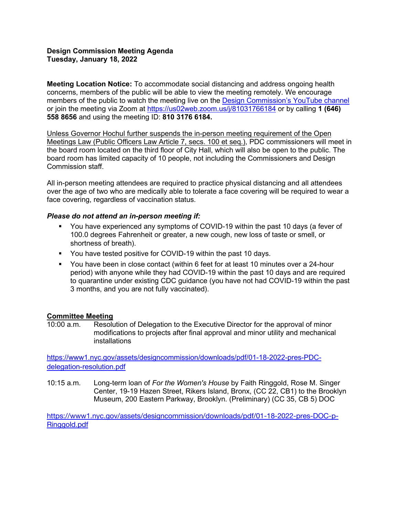### **Design Commission Meeting Agenda Tuesday, January 18, 2022**

**Meeting Location Notice:** To accommodate social distancing and address ongoing health concerns, members of the public will be able to view the meeting remotely. We encourage members of the public to watch the meeting live on the [Design Commission's YouTube channel](https://gcc02.safelinks.protection.outlook.com/?url=http%3A%2F%2Fwww.youtube.com%2Fnycdesigncommission&data=04%7C01%7CGHan%40cityhall.nyc.gov%7Caf58b39292ea400d936708d9d1356846%7C35c828166c56443bbaf68312163cadc1%7C0%7C0%7C637770849570943192%7CUnknown%7CTWFpbGZsb3d8eyJWIjoiMC4wLjAwMDAiLCJQIjoiV2luMzIiLCJBTiI6Ik1haWwiLCJXVCI6Mn0%3D%7C3000&sdata=zRACi5g6kRleJtn18y%2Fgj%2FS%2Bj2Y%2BYv2nAiZTIwFG9mo%3D&reserved=0) or join the meeting via Zoom at<https://us02web.zoom.us/j/81031766184> or by calling **1 (646) 558 8656** and using the meeting ID: **810 3176 6184.**

Unless Governor Hochul further suspends the in-person meeting requirement of the Open Meetings Law (Public Officers Law Article 7, secs. 100 et seq.), PDC commissioners will meet in the board room located on the third floor of City Hall, which will also be open to the public. The board room has limited capacity of 10 people, not including the Commissioners and Design Commission staff.

All in-person meeting attendees are required to practice physical distancing and all attendees over the age of two who are medically able to tolerate a face covering will be required to wear a face covering, regardless of vaccination status.

### *Please do not attend an in-person meeting if:*

- You have experienced any symptoms of COVID-19 within the past 10 days (a fever of 100.0 degrees Fahrenheit or greater, a new cough, new loss of taste or smell, or shortness of breath).
- You have tested positive for COVID-19 within the past 10 days.
- You have been in close contact (within 6 feet for at least 10 minutes over a 24-hour period) with anyone while they had COVID-19 within the past 10 days and are required to quarantine under existing CDC guidance (you have not had COVID-19 within the past 3 months, and you are not fully vaccinated).

## **Committee Meeting**<br>10:00 a.m. Resolu

Resolution of Delegation to the Executive Director for the approval of minor modifications to projects after final approval and minor utility and mechanical installations

[https://www1.nyc.gov/assets/designcommission/downloads/pdf/01-18-2022-pres-PDC](https://www1.nyc.gov/assets/designcommission/downloads/pdf/01-18-2022-pres-PDC-delegation-resolution.pdf)[delegation-resolution.pdf](https://www1.nyc.gov/assets/designcommission/downloads/pdf/01-18-2022-pres-PDC-delegation-resolution.pdf)

10:15 a.m. Long-term loan of *For the Women's House* by Faith Ringgold, Rose M. Singer Center, 19-19 Hazen Street, Rikers Island, Bronx, (CC 22, CB1) to the Brooklyn Museum, 200 Eastern Parkway, Brooklyn. (Preliminary) (CC 35, CB 5) DOC

[https://www1.nyc.gov/assets/designcommission/downloads/pdf/01-18-2022-pres-DOC-p-](https://gcc02.safelinks.protection.outlook.com/?url=https%3A%2F%2Fwww1.nyc.gov%2Fassets%2Fdesigncommission%2Fdownloads%2Fpdf%2F01-18-2022-pres-DOC-p-Ringgold.pdf&data=04%7C01%7CGHan%40cityhall.nyc.gov%7C52150b2b82f84ef1b12c08d9d48cf167%7C35c828166c56443bbaf68312163cadc1%7C0%7C0%7C637774524069017724%7CUnknown%7CTWFpbGZsb3d8eyJWIjoiMC4wLjAwMDAiLCJQIjoiV2luMzIiLCJBTiI6Ik1haWwiLCJXVCI6Mn0%3D%7C3000&sdata=yXgkFBfZf%2B%2BU1a%2BrcqJMrzbKp%2FD51FNk%2BDyqWU2sWwk%3D&reserved=0)[Ringgold.pdf](https://gcc02.safelinks.protection.outlook.com/?url=https%3A%2F%2Fwww1.nyc.gov%2Fassets%2Fdesigncommission%2Fdownloads%2Fpdf%2F01-18-2022-pres-DOC-p-Ringgold.pdf&data=04%7C01%7CGHan%40cityhall.nyc.gov%7C52150b2b82f84ef1b12c08d9d48cf167%7C35c828166c56443bbaf68312163cadc1%7C0%7C0%7C637774524069017724%7CUnknown%7CTWFpbGZsb3d8eyJWIjoiMC4wLjAwMDAiLCJQIjoiV2luMzIiLCJBTiI6Ik1haWwiLCJXVCI6Mn0%3D%7C3000&sdata=yXgkFBfZf%2B%2BU1a%2BrcqJMrzbKp%2FD51FNk%2BDyqWU2sWwk%3D&reserved=0)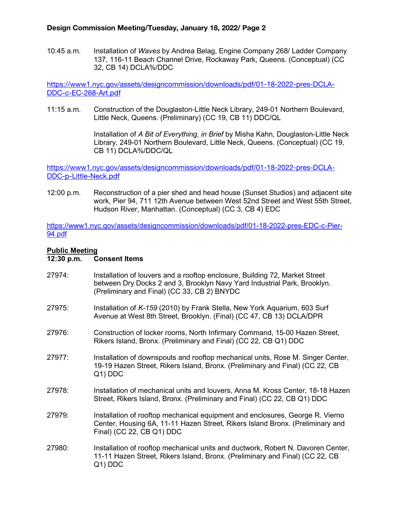10:45 a.m. Installation of *Waves* by Andrea Belag, Engine Company 268/ Ladder Company 137, 116-11 Beach Channel Drive, Rockaway Park, Queens. (Conceptual) (CC 32, CB 14) DCLA%/DDC

[https://www1.nyc.gov/assets/designcommission/downloads/pdf/01-18-2022-pres-DCLA-](https://gcc02.safelinks.protection.outlook.com/?url=https%3A%2F%2Fwww1.nyc.gov%2Fassets%2Fdesigncommission%2Fdownloads%2Fpdf%2F01-18-2022-pres-DCLA-DDC-c-EC-268-Art.pdf&data=04%7C01%7CGHan%40cityhall.nyc.gov%7C52150b2b82f84ef1b12c08d9d48cf167%7C35c828166c56443bbaf68312163cadc1%7C0%7C0%7C637774524069017724%7CUnknown%7CTWFpbGZsb3d8eyJWIjoiMC4wLjAwMDAiLCJQIjoiV2luMzIiLCJBTiI6Ik1haWwiLCJXVCI6Mn0%3D%7C3000&sdata=vXFDywsIMhs%2F1bggGE2z%2FH%2BMBblS%2Fq1XGqgLxSvR2j0%3D&reserved=0)[DDC-c-EC-268-Art.pdf](https://gcc02.safelinks.protection.outlook.com/?url=https%3A%2F%2Fwww1.nyc.gov%2Fassets%2Fdesigncommission%2Fdownloads%2Fpdf%2F01-18-2022-pres-DCLA-DDC-c-EC-268-Art.pdf&data=04%7C01%7CGHan%40cityhall.nyc.gov%7C52150b2b82f84ef1b12c08d9d48cf167%7C35c828166c56443bbaf68312163cadc1%7C0%7C0%7C637774524069017724%7CUnknown%7CTWFpbGZsb3d8eyJWIjoiMC4wLjAwMDAiLCJQIjoiV2luMzIiLCJBTiI6Ik1haWwiLCJXVCI6Mn0%3D%7C3000&sdata=vXFDywsIMhs%2F1bggGE2z%2FH%2BMBblS%2Fq1XGqgLxSvR2j0%3D&reserved=0)

11:15 a.m. Construction of the Douglaston-Little Neck Library, 249-01 Northern Boulevard, Little Neck, Queens. (Preliminary) (CC 19, CB 11) DDC/QL

> Installation of *A Bit of Everything, in Brief* by Misha Kahn, Douglaston-Little Neck Library, 249-01 Northern Boulevard, Little Neck, Queens. (Conceptual) (CC 19, CB 11) DCLA%/DDC/QL

[https://www1.nyc.gov/assets/designcommission/downloads/pdf/01-18-2022-pres-DCLA-](https://gcc02.safelinks.protection.outlook.com/?url=https%3A%2F%2Fwww1.nyc.gov%2Fassets%2Fdesigncommission%2Fdownloads%2Fpdf%2F01-18-2022-pres-DCLA-DDC-p-Little-Neck.pdf&data=04%7C01%7CGHan%40cityhall.nyc.gov%7C52150b2b82f84ef1b12c08d9d48cf167%7C35c828166c56443bbaf68312163cadc1%7C0%7C0%7C637774524069017724%7CUnknown%7CTWFpbGZsb3d8eyJWIjoiMC4wLjAwMDAiLCJQIjoiV2luMzIiLCJBTiI6Ik1haWwiLCJXVCI6Mn0%3D%7C3000&sdata=Y4%2BjPgm9Gky8p0jEExuvoNQ2%2F9q5%2BQKsvh%2FDXcQsfkc%3D&reserved=0)[DDC-p-Little-Neck.pdf](https://gcc02.safelinks.protection.outlook.com/?url=https%3A%2F%2Fwww1.nyc.gov%2Fassets%2Fdesigncommission%2Fdownloads%2Fpdf%2F01-18-2022-pres-DCLA-DDC-p-Little-Neck.pdf&data=04%7C01%7CGHan%40cityhall.nyc.gov%7C52150b2b82f84ef1b12c08d9d48cf167%7C35c828166c56443bbaf68312163cadc1%7C0%7C0%7C637774524069017724%7CUnknown%7CTWFpbGZsb3d8eyJWIjoiMC4wLjAwMDAiLCJQIjoiV2luMzIiLCJBTiI6Ik1haWwiLCJXVCI6Mn0%3D%7C3000&sdata=Y4%2BjPgm9Gky8p0jEExuvoNQ2%2F9q5%2BQKsvh%2FDXcQsfkc%3D&reserved=0)

12:00 p.m. Reconstruction of a pier shed and head house (Sunset Studios) and adjacent site work, Pier 94, 711 12th Avenue between West 52nd Street and West 55th Street, Hudson River, Manhattan. (Conceptual) (CC 3, CB 4) EDC

[https://www1.nyc.gov/assets/designcommission/downloads/pdf/01-18-2022-pres-EDC-c-Pier-](https://gcc02.safelinks.protection.outlook.com/?url=https%3A%2F%2Fwww1.nyc.gov%2Fassets%2Fdesigncommission%2Fdownloads%2Fpdf%2F01-18-2022-pres-EDC-c-Pier-94.pdf&data=04%7C01%7CGHan%40cityhall.nyc.gov%7C52150b2b82f84ef1b12c08d9d48cf167%7C35c828166c56443bbaf68312163cadc1%7C0%7C0%7C637774524069017724%7CUnknown%7CTWFpbGZsb3d8eyJWIjoiMC4wLjAwMDAiLCJQIjoiV2luMzIiLCJBTiI6Ik1haWwiLCJXVCI6Mn0%3D%7C3000&sdata=8zxaGHvF1lCqSlouXJ1kmQZlRFqUwtVUIkDIAaiNqWk%3D&reserved=0)[94.pdf](https://gcc02.safelinks.protection.outlook.com/?url=https%3A%2F%2Fwww1.nyc.gov%2Fassets%2Fdesigncommission%2Fdownloads%2Fpdf%2F01-18-2022-pres-EDC-c-Pier-94.pdf&data=04%7C01%7CGHan%40cityhall.nyc.gov%7C52150b2b82f84ef1b12c08d9d48cf167%7C35c828166c56443bbaf68312163cadc1%7C0%7C0%7C637774524069017724%7CUnknown%7CTWFpbGZsb3d8eyJWIjoiMC4wLjAwMDAiLCJQIjoiV2luMzIiLCJBTiI6Ik1haWwiLCJXVCI6Mn0%3D%7C3000&sdata=8zxaGHvF1lCqSlouXJ1kmQZlRFqUwtVUIkDIAaiNqWk%3D&reserved=0)

# Public Meeting<br>12:30 p.m. C

### **Consent Items**

- 27974: Installation of louvers and a rooftop enclosure, Building 72, Market Street between Dry Docks 2 and 3, Brooklyn Navy Yard Industrial Park, Brooklyn. (Preliminary and Final) (CC 33, CB 2) BNYDC
- 27975: Installation of *K-159* (2010) by Frank Stella, New York Aquarium, 603 Surf Avenue at West 8th Street, Brooklyn. (Final) (CC 47, CB 13) DCLA/DPR
- 27976: Construction of locker rooms, North Infirmary Command, 15-00 Hazen Street, Rikers Island, Bronx. (Preliminary and Final) (CC 22, CB Q1) DDC
- 27977: Installation of downspouts and rooftop mechanical units, Rose M. Singer Center, 19-19 Hazen Street, Rikers Island, Bronx. (Preliminary and Final) (CC 22, CB Q1) DDC
- 27978: Installation of mechanical units and louvers, Anna M. Kross Center, 18-18 Hazen Street, Rikers Island, Bronx. (Preliminary and Final) (CC 22, CB Q1) DDC
- 27979: Installation of rooftop mechanical equipment and enclosures, George R. Vierno Center, Housing 6A, 11-11 Hazen Street, Rikers Island Bronx. (Preliminary and Final) (CC 22, CB Q1) DDC
- 27980: Installation of rooftop mechanical units and ductwork, Robert N. Davoren Center, 11-11 Hazen Street, Rikers Island, Bronx. (Preliminary and Final) (CC 22, CB Q1) DDC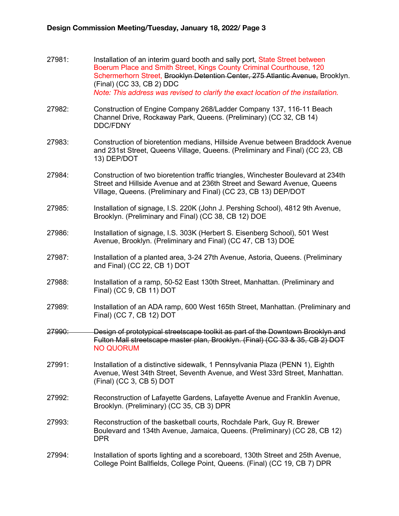- 27981: Installation of an interim guard booth and sally port, State Street between Boerum Place and Smith Street, Kings County Criminal Courthouse, 120 Schermerhorn Street, Brooklyn Detention Center, 275 Atlantic Avenue, Brooklyn. (Final) (CC 33, CB 2) DDC *Note: This address was revised to clarify the exact location of the installation.*
- 27982: Construction of Engine Company 268/Ladder Company 137, 116-11 Beach Channel Drive, Rockaway Park, Queens. (Preliminary) (CC 32, CB 14) DDC/FDNY
- 27983: Construction of bioretention medians, Hillside Avenue between Braddock Avenue and 231st Street, Queens Village, Queens. (Preliminary and Final) (CC 23, CB 13) DEP/DOT
- 27984: Construction of two bioretention traffic triangles, Winchester Boulevard at 234th Street and Hillside Avenue and at 236th Street and Seward Avenue, Queens Village, Queens. (Preliminary and Final) (CC 23, CB 13) DEP/DOT
- 27985: Installation of signage, I.S. 220K (John J. Pershing School), 4812 9th Avenue, Brooklyn. (Preliminary and Final) (CC 38, CB 12) DOE
- 27986: Installation of signage, I.S. 303K (Herbert S. Eisenberg School), 501 West Avenue, Brooklyn. (Preliminary and Final) (CC 47, CB 13) DOE
- 27987: Installation of a planted area, 3-24 27th Avenue, Astoria, Queens. (Preliminary and Final) (CC 22, CB 1) DOT
- 27988: Installation of a ramp, 50-52 East 130th Street, Manhattan. (Preliminary and Final) (CC 9, CB 11) DOT
- 27989: Installation of an ADA ramp, 600 West 165th Street, Manhattan. (Preliminary and Final) (CC 7, CB 12) DOT
- 27990: Design of prototypical streetscape toolkit as part of the Downtown Brooklyn and Fulton Mall streetscape master plan, Brooklyn. (Final) (CC 33 & 35, CB 2) DOT NO QUORUM
- 27991: Installation of a distinctive sidewalk, 1 Pennsylvania Plaza (PENN 1), Eighth Avenue, West 34th Street, Seventh Avenue, and West 33rd Street, Manhattan. (Final) (CC 3, CB 5) DOT
- 27992: Reconstruction of Lafayette Gardens, Lafayette Avenue and Franklin Avenue, Brooklyn. (Preliminary) (CC 35, CB 3) DPR
- 27993: Reconstruction of the basketball courts, Rochdale Park, Guy R. Brewer Boulevard and 134th Avenue, Jamaica, Queens. (Preliminary) (CC 28, CB 12) DPR
- 27994: Installation of sports lighting and a scoreboard, 130th Street and 25th Avenue, College Point Ballfields, College Point, Queens. (Final) (CC 19, CB 7) DPR